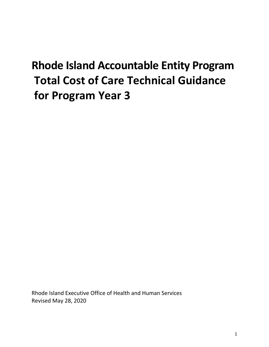# **Rhode Island Accountable Entity Program Total Cost of Care Technical Guidance for Program Year 3**

Rhode Island Executive Office of Health and Human Services Revised May 28, 2020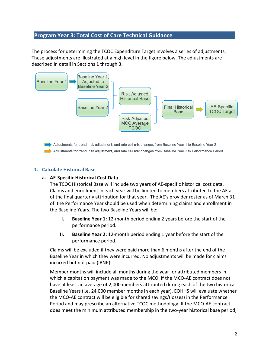# **Program Year 3: Total Cost of Care Technical Guidance**

The process for determining the TCOC Expenditure Target involves a series of adjustments. These adjustments are illustrated at a high level in the figure below. The adjustments are described in detail in Sections 1 through 3.



Adjustments for trend, risk adjustment, and rate cell mix changes from Baseline Year 1 to Baseline Year 2 Adjustments for trend, risk adjustment, and rate cell mix changes from Baseline Year 2 to Performance Period

#### **1. Calculate Historical Base**

#### **a. AE-Specific Historical Cost Data**

The TCOC Historical Base will include two years of AE-specific historical cost data. Claims and enrollment in each year will be limited to members attributed to the AE as of the final quarterly attribution for that year. The AE's provider roster as of March 31 of the Performance Year should be used when determining claims and enrollment in the Baseline Years. The two Baseline Years will be:

- **I. Baseline Year 1:** 12-month period ending 2 years before the start of the performance period.
- **II. Baseline Year 2:** 12-month period ending 1 year before the start of the performance period.

Claims will be excluded if they were paid more than 6 months after the end of the Baseline Year in which they were incurred. No adjustments will be made for claims incurred but not paid (IBNP).

Member months will include all months during the year for attributed members in which a capitation payment was made to the MCO. If the MCO-AE contract does not have at least an average of 2,000 members attributed during each of the two historical Baseline Years (i.e. 24,000 member months in each year), EOHHS will evaluate whether the MCO-AE contract will be eligible for shared savings/(losses) in the Performance Period and may prescribe an alternative TCOC methodology. If the MCO-AE contract does meet the minimum attributed membership in the two-year historical base period,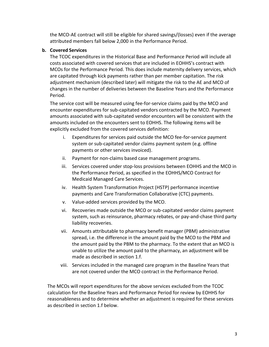the MCO-AE contract will still be eligible for shared savings/(losses) even if the average attributed members fall below 2,000 in the Performance Period.

## **b. Covered Services**

The TCOC expenditures in the Historical Base and Performance Period will include all costs associated with covered services that are included in EOHHS's contract with MCOs for the Performance Period. This does include maternity delivery services, which are capitated through kick payments rather than per member capitation. The risk adjustment mechanism (described later) will mitigate the risk to the AE and MCO of changes in the number of deliveries between the Baseline Years and the Performance Period.

The service cost will be measured using fee-for-service claims paid by the MCO and encounter expenditures for sub-capitated vendors contracted by the MCO. Payment amounts associated with sub-capitated vendor encounters will be consistent with the amounts included on the encounters sent to EOHHS. The following items will be explicitly excluded from the covered services definition:

- i. Expenditures for services paid outside the MCO fee-for-service payment system or sub-capitated vendor claims payment system (e.g. offline payments or other services invoiced).
- ii. Payment for non-claims based case management programs.
- iii. Services covered under stop-loss provisions between EOHHS and the MCO in the Performance Period, as specified in the EOHHS/MCO Contract for Medicaid Managed Care Services.
- iv. Health System Transformation Project (HSTP) performance incentive payments and Care Transformation Collaborative (CTC) payments.
- v. Value-added services provided by the MCO.
- vi. Recoveries made outside the MCO or sub-capitated vendor claims payment system, such as reinsurance, pharmacy rebates, or pay-and-chase third party liability recoveries.
- vii. Amounts attributable to pharmacy benefit manager (PBM) administrative spread, i.e. the difference in the amount paid by the MCO to the PBM and the amount paid by the PBM to the pharmacy. To the extent that an MCO is unable to utilize the amount paid to the pharmacy, an adjustment will be made as described in section 1.f.
- viii. Services included in the managed care program in the Baseline Years that are not covered under the MCO contract in the Performance Period.

The MCOs will report expenditures for the above services excluded from the TCOC calculation for the Baseline Years and Performance Period for review by EOHHS for reasonableness and to determine whether an adjustment is required for these services as described in section 1.f below.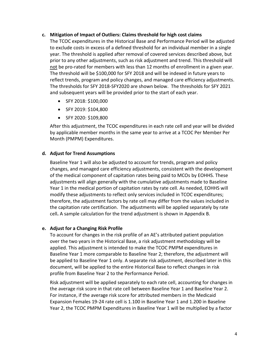#### **c. Mitigation of Impact of Outliers: Claims threshold for high cost claims**

The TCOC expenditures in the Historical Base and Performance Period will be adjusted to exclude costs in excess of a defined threshold for an individual member in a single year. The threshold is applied after removal of covered services described above, but prior to any other adjustments, such as risk adjustment and trend. This threshold will not be pro-rated for members with less than 12 months of enrollment in a given year. The threshold will be \$100,000 for SFY 2018 and will be indexed in future years to reflect trends, program and policy changes, and managed care efficiency adjustments. The thresholds for SFY 2018-SFY2020 are shown below. The thresholds for SFY 2021 and subsequent years will be provided prior to the start of each year.

- SFY 2018: \$100,000
- SFY 2019: \$104,800
- SFY 2020: \$109,800

After this adjustment, the TCOC expenditures in each rate cell and year will be divided by applicable member months in the same year to arrive at a TCOC Per Member Per Month (PMPM) Expenditures.

## **d. Adjust for Trend Assumptions**

Baseline Year 1 will also be adjusted to account for trends, program and policy changes, and managed care efficiency adjustments, consistent with the development of the medical component of capitation rates being paid to MCOs by EOHHS. These adjustments will align generally with the cumulative adjustments made to Baseline Year 1 in the medical portion of capitation rates by rate cell. As needed, EOHHS will modify these adjustments to reflect only services included in TCOC expenditures; therefore, the adjustment factors by rate cell may differ from the values included in the capitation rate certification. The adjustments will be applied separately by rate cell**.** A sample calculation for the trend adjustment is shown in Appendix B.

## **e. Adjust for a Changing Risk Profile**

To account for changes in the risk profile of an AE's attributed patient population over the two years in the Historical Base, a risk adjustment methodology will be applied. This adjustment is intended to make the TCOC PMPM expenditures in Baseline Year 1 more comparable to Baseline Year 2; therefore, the adjustment will be applied to Baseline Year 1 only. A separate risk adjustment, described later in this document, will be applied to the entire Historical Base to reflect changes in risk profile from Baseline Year 2 to the Performance Period.

Risk adjustment will be applied separately to each rate cell, accounting for changes in the average risk score in that rate cell between Baseline Year 1 and Baseline Year 2. For instance, if the average risk score for attributed members in the Medicaid Expansion Females 19-24 rate cell is 1.100 in Baseline Year 1 and 1.200 in Baseline Year 2, the TCOC PMPM Expenditures in Baseline Year 1 will be multiplied by a factor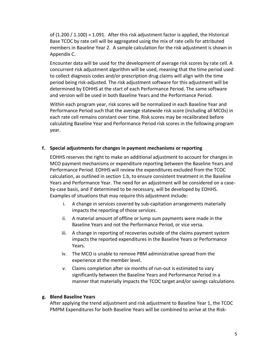of (1.200 / 1.100) = 1.091. After this risk adjustment factor is applied, the Historical Base TCOC by rate cell will be aggregated using the mix of rate cells for attributed members in Baseline Year 2. A sample calculation for the risk adjustment is shown in Appendix C.

Encounter data will be used for the development of average risk scores by rate cell. A concurrent risk adjustment algorithm will be used, meaning that the time period used to collect diagnosis codes and/or prescription drug claims will align with the time period being risk-adjusted. The risk adjustment software for this adjustment will be determined by EOHHS at the start of each Performance Period. The same software and version will be used in both Baseline Years and the Performance Period.

Within each program year, risk scores will be normalized in each Baseline Year and Performance Period such that the average statewide risk score (including all MCOs) in each rate cell remains constant over time. Risk scores may be recalibrated before calculating Baseline Year and Performance Period risk scores in the following program year.

## **f. Special adjustments for changes in payment mechanisms or reporting**

EOHHS reserves the right to make an additional adjustment to account for changes in MCO payment mechanisms or expenditure reporting between the Baseline Years and Performance Period. EOHHS will review the expenditures excluded from the TCOC calculation, as outlined in section 1.b, to ensure consistent treatment in the Baseline Years and Performance Year. The need for an adjustment will be considered on a caseby-case basis, and if determined to be necessary, will be developed by EOHHS. Examples of situations that may require this adjustment include:

- i. A change in services covered by sub-capitation arrangements materially impacts the reporting of those services.
- ii. A material amount of offline or lump sum payments were made in the Baseline Years and not the Performance Period, or vice versa.
- iii. A change in reporting of recoveries outside of the claims payment system impacts the reported expenditures in the Baseline Years or Performance Years.
- iv. The MCO is unable to remove PBM administrative spread from the experience at the member level.
- v. Claims completion after six months of run-out is estimated to vary significantly between the Baseline Years and Performance Period in a manner that materially impacts the TCOC target and/or savings calculations.

#### **g. Blend Baseline Years**

After applying the trend adjustment and risk adjustment to Baseline Year 1, the TCOC PMPM Expenditures for both Baseline Years will be combined to arrive at the Risk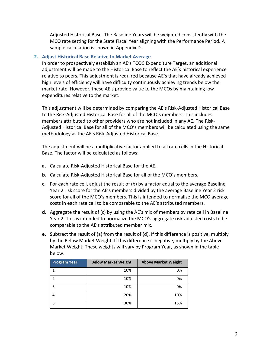Adjusted Historical Base. The Baseline Years will be weighted consistently with the MCO rate setting for the State Fiscal Year aligning with the Performance Period. A sample calculation is shown in Appendix D.

#### **2. Adjust Historical Base Relative to Market Average**

In order to prospectively establish an AE's TCOC Expenditure Target, an additional adjustment will be made to the Historical Base to reflect the AE's historical experience relative to peers. This adjustment is required because AE's that have already achieved high levels of efficiency will have difficulty continuously achieving trends below the market rate. However, these AE's provide value to the MCOs by maintaining low expenditures relative to the market.

This adjustment will be determined by comparing the AE's Risk-Adjusted Historical Base to the Risk-Adjusted Historical Base for all of the MCO's members. This includes members attributed to other providers who are not included in any AE. The Risk-Adjusted Historical Base for all of the MCO's members will be calculated using the same methodology as the AE's Risk-Adjusted Historical Base.

The adjustment will be a multiplicative factor applied to all rate cells in the Historical Base. The factor will be calculated as follows:

- **a.** Calculate Risk-Adjusted Historical Base for the AE.
- **b.** Calculate Risk-Adjusted Historical Base for all of the MCO's members.
- **c.** For each rate cell, adjust the result of (b) by a factor equal to the average Baseline Year 2 risk score for the AE's members divided by the average Baseline Year 2 risk score for all of the MCO's members. This is intended to normalize the MCO average costs in each rate cell to be comparable to the AE's attributed members.
- **d.** Aggregate the result of (c) by using the AE's mix of members by rate cell in Baseline Year 2. This is intended to normalize the MCO's aggregate risk-adjusted costs to be comparable to the AE's attributed member mix.
- **e.** Subtract the result of (a) from the result of (d). If this difference is positive, multiply by the Below Market Weight. If this difference is negative, multiply by the Above Market Weight. These weights will vary by Program Year, as shown in the table below.

| <b>Program Year</b> | <b>Below Market Weight</b> | <b>Above Market Weight</b> |
|---------------------|----------------------------|----------------------------|
|                     | 10%                        | 0%                         |
| 2                   | 10%                        | 0%                         |
| ς                   | 10%                        | 0%                         |
|                     | 20%                        | 10%                        |
|                     | 30%                        | 15%                        |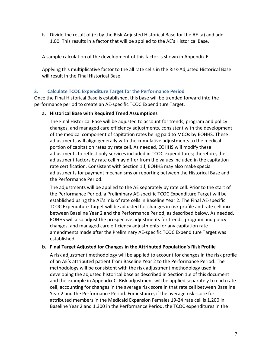**f.** Divide the result of (e) by the Risk-Adjusted Historical Base for the AE (a) and add 1.00. This results in a factor that will be applied to the AE's Historical Base.

A sample calculation of the development of this factor is shown in Appendix E.

Applying this multiplicative factor to the all rate cells in the Risk-Adjusted Historical Base will result in the Final Historical Base.

## **3. Calculate TCOC Expenditure Target for the Performance Period**

Once the Final Historical Base is established, this base will be trended forward into the performance period to create an AE-specific TCOC Expenditure Target.

## **a. Historical Base with Required Trend Assumptions**

The Final Historical Base will be adjusted to account for trends, program and policy changes, and managed care efficiency adjustments, consistent with the development of the medical component of capitation rates being paid to MCOs by EOHHS. These adjustments will align generally with the cumulative adjustments to the medical portion of capitation rates by rate cell. As needed, EOHHS will modify these adjustments to reflect only services included in TCOC expenditures; therefore, the adjustment factors by rate cell may differ from the values included in the capitation rate certification. Consistent with Section 1.f, EOHHS may also make special adjustments for payment mechanisms or reporting between the Historical Base and the Performance Period.

The adjustments will be applied to the AE separately by rate cell. Prior to the start of the Performance Period, a Preliminary AE-specific TCOC Expenditure Target will be established using the AE's mix of rate cells in Baseline Year 2. The Final AE-specific TCOC Expenditure Target will be adjusted for changes in risk profile and rate cell mix between Baseline Year 2 and the Performance Period, as described below. As needed, EOHHS will also adjust the prospective adjustments for trends, program and policy changes, and managed care efficiency adjustments for any capitation rate amendments made after the Preliminary AE-specific TCOC Expenditure Target was established.

## **b. Final Target Adjusted for Changes in the Attributed Population's Risk Profile**

A risk adjustment methodology will be applied to account for changes in the risk profile of an AE's attributed patient from Baseline Year 2 to the Performance Period. The methodology will be consistent with the risk adjustment methodology used in developing the adjusted historical base as described in Section 1.e of this document and the example in Appendix C. Risk adjustment will be applied separately to each rate cell, accounting for changes in the average risk score in that rate cell between Baseline Year 2 and the Performance Period. For instance, if the average risk score for attributed members in the Medicaid Expansion Females 19-24 rate cell is 1.200 in Baseline Year 2 and 1.300 in the Performance Period, the TCOC expenditures in the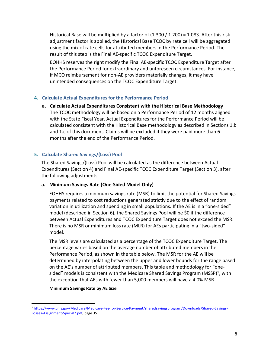Historical Base will be multiplied by a factor of  $(1.300 / 1.200) = 1.083$ . After this risk adjustment factor is applied, the Historical Base TCOC by rate cell will be aggregated using the mix of rate cells for attributed members in the Performance Period. The result of this step is the Final AE-specific TCOC Expenditure Target.

EOHHS reserves the right modify the Final AE-specific TCOC Expenditure Target after the Performance Period for extraordinary and unforeseen circumstances. For instance, if MCO reimbursement for non-AE providers materially changes, it may have unintended consequences on the TCOC Expenditure Target.

## **4. Calculate Actual Expenditures for the Performance Period**

**a. Calculate Actual Expenditures Consistent with the Historical Base Methodology** The TCOC methodology will be based on a Performance Period of 12 months aligned with the State Fiscal Year. Actual Expenditures for the Performance Period will be calculated consistent with the Historical Base methodology as described in Sections 1.b and 1.c of this document. Claims will be excluded if they were paid more than 6 months after the end of the Performance Period.

## **5. Calculate Shared Savings/(Loss) Pool**

The Shared Savings/(Loss) Pool will be calculated as the difference between Actual Expenditures (Section 4) and Final AE-specific TCOC Expenditure Target (Section 3), after the following adjustments:

## **a. Minimum Savings Rate (One-Sided Model Only)**

EOHHS requires a minimum savings rate (MSR) to limit the potential for Shared Savings payments related to cost reductions generated strictly due to the effect of random variation in utilization and spending in small populations**.** If the AE is in a "one-sided" model (described in Section 6), the Shared Savings Pool will be \$0 if the difference between Actual Expenditures and TCOC Expenditure Target does not exceed the MSR. There is no MSR or minimum loss rate (MLR) for AEs participating in a "two-sided" model.

The MSR levels are calculated as a percentage of the TCOC Expenditure Target. The percentage varies based on the average number of attributed members in the Performance Period, as shown in the table below. The MSR for the AE will be determined by interpolating between the upper and lower bounds for the range based on the AE's number of attributed members. This table and methodology for "onesided" models is consistent with the Medicare Shared Savings Program (MSSP)<sup>1</sup>, with the exception that AEs with fewer than 5,000 members will have a 4.0% MSR.

#### **Minimum Savings Rate by AE Size**

<sup>1</sup> [https://www.cms.gov/Medicare/Medicare-Fee-for-Service-Payment/sharedsavingsprogram/Downloads/Shared-Savings-](https://www.cms.gov/Medicare/Medicare-Fee-for-Service-Payment/sharedsavingsprogram/Downloads/Shared-Savings-Losses-Assignment-Spec-V7.pdf)[Losses-Assignment-Spec-V7.pdf,](https://www.cms.gov/Medicare/Medicare-Fee-for-Service-Payment/sharedsavingsprogram/Downloads/Shared-Savings-Losses-Assignment-Spec-V7.pdf) page 35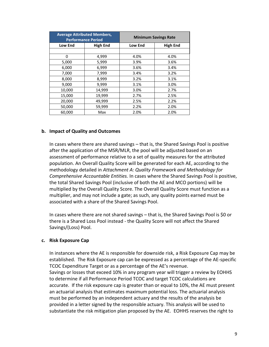| <b>Average Attributed Members,</b><br><b>Performance Period</b> |                 | <b>Minimum Savings Rate</b> |                 |
|-----------------------------------------------------------------|-----------------|-----------------------------|-----------------|
| <b>Low End</b>                                                  | <b>High End</b> | <b>Low End</b>              | <b>High End</b> |
|                                                                 |                 |                             |                 |
| $\Omega$                                                        | 4,999           | 4.0%                        | 4.0%            |
| 5,000                                                           | 5,999           | 3.9%                        | 3.6%            |
| 6,000                                                           | 6,999           | 3.6%                        | 3.4%            |
| 7,000                                                           | 7,999           | 3.4%                        | 3.2%            |
| 8,000                                                           | 8,999           | 3.2%                        | 3.1%            |
| 9,000                                                           | 9,999           | 3.1%                        | 3.0%            |
| 10,000                                                          | 14,999          | 3.0%                        | 2.7%            |
| 15,000                                                          | 19,999          | 2.7%                        | 2.5%            |
| 20,000                                                          | 49,999          | 2.5%                        | 2.2%            |
| 50,000                                                          | 59,999          | 2.2%                        | 2.0%            |
| 60,000                                                          | Max             | 2.0%                        | 2.0%            |

#### **b. Impact of Quality and Outcomes**

In cases where there are shared savings – that is, the Shared Savings Pool is positive after the application of the MSR/MLR, the pool will be adjusted based on an assessment of performance relative to a set of quality measures for the attributed population. An Overall Quality Score will be generated for each AE, according to the methodology detailed in *Attachment A: Quality Framework and Methodology for Comprehensive Accountable Entities.* In cases where the Shared Savings Pool is positive, the total Shared Savings Pool (inclusive of both the AE and MCO portions) will be multiplied by the Overall Quality Score. The Overall Quality Score must function as a multiplier, and may not include a gate; as such, any quality points earned must be associated with a share of the Shared Savings Pool.

In cases where there are not shared savings – that is, the Shared Savings Pool is \$0 or there is a Shared Loss Pool instead - the Quality Score will not affect the Shared Savings/(Loss) Pool.

#### **c. Risk Exposure Cap**

In instances where the AE is responsible for downside risk, a Risk Exposure Cap may be established. The Risk Exposure cap can be expressed as a percentage of the AE-specific TCOC Expenditure Target or as a percentage of the AE's revenue. Savings or losses that exceed 10% in any program year will trigger a review by EOHHS to determine if all Performance Period TCOC and target TCOC calculations are accurate. If the risk exposure cap is greater than or equal to 10%, the AE must present an actuarial analysis that estimates maximum potential loss. The actuarial analysis must be performed by an independent actuary and the results of the analysis be provided in a letter signed by the responsible actuary. This analysis will be used to substantiate the risk mitigation plan proposed by the AE. EOHHS reserves the right to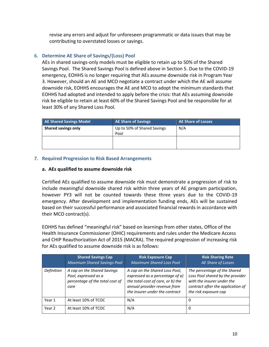revise any errors and adjust for unforeseen programmatic or data issues that may be contributing to overstated losses or savings.

# **6. Determine AE Share of Savings/(Loss) Pool**

AEs in shared savings-only models must be eligible to retain up to 50% of the Shared Savings Pool. The Shared Savings Pool is defined above in Section 5. Due to the COVID-19 emergency, EOHHS is no longer requiring that AEs assume downside risk in Program Year 3. However, should an AE and MCO negotiate a contract under which the AE will assume downside risk, EOHHS encourages the AE and MCO to adopt the minimum standards that EOHHS had adopted and intended to apply before the crisis: that AEs assuming downside risk be eligible to retain at least 60% of the Shared Savings Pool and be responsible for at least 30% of any Shared Loss Pool.

| AE Shared Savings Model    | <b>AE Share of Savings</b>          | AE Share of Losses |
|----------------------------|-------------------------------------|--------------------|
| <b>Shared savings only</b> | Up to 50% of Shared Savings<br>Pool | N/A                |
|                            |                                     |                    |

#### **7. Required Progression to Risk Based Arrangements**

#### **a. AEs qualified to assume downside risk**

Certified AEs qualified to assume downside risk must demonstrate a progression of risk to include meaningful downside shared risk within three years of AE program participation, however PY3 will not be counted towards these three years due to the COVID-19 emergency. After development and implementation funding ends, AEs will be sustained based on their successful performance and associated financial rewards in accordance with their MCO contract(s).

EOHHS has defined "meaningful risk" based on learnings from other states, Office of the Health Insurance Commissioner (OHIC) requirements and rules under the Medicare Access and CHIP Reauthorization Act of 2015 (MACRA). The required progression of increasing risk for AEs qualified to assume downside risk is as follows:

|            | <b>Shared Savings Cap</b><br><b>Maximum Shared Savings Pool</b>                                | <b>Risk Exposure Cap</b><br><b>Maximum Shared Loss Pool</b>                                                                                                              | <b>Risk Sharing Rate</b><br>AE Share of Losses                                                                                                               |
|------------|------------------------------------------------------------------------------------------------|--------------------------------------------------------------------------------------------------------------------------------------------------------------------------|--------------------------------------------------------------------------------------------------------------------------------------------------------------|
| Definition | A cap on the Shared Savings<br>Pool, expressed as a<br>percentage of the total cost of<br>care | A cap on the Shared Loss Pool,<br>expressed as a percentage of a)<br>the total cost of care, or b) the<br>annual provider revenue from<br>the insurer under the contract | The percentage of the Shared<br>Loss Pool shared by the provider<br>with the insurer under the<br>contract after the application of<br>the risk exposure cap |
| Year 1     | At least 10% of TCOC                                                                           | N/A                                                                                                                                                                      | 0                                                                                                                                                            |
| Year 2     | At least 10% of TCOC                                                                           | N/A                                                                                                                                                                      | 0                                                                                                                                                            |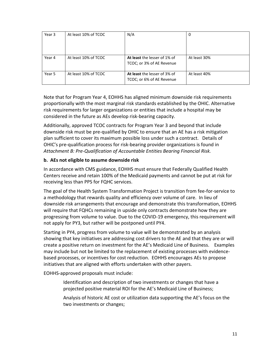| Year 3 | At least 10% of TCOC | N/A                                                       | 0            |
|--------|----------------------|-----------------------------------------------------------|--------------|
|        |                      |                                                           |              |
|        |                      |                                                           |              |
| Year 4 | At least 10% of TCOC | At least the lesser of 1% of<br>TCOC; or 3% of AE Revenue | At least 30% |
| Year 5 | At least 10% of TCOC | At least the lesser of 3% of<br>TCOC; or 6% of AE Revenue | At least 40% |

Note that for Program Year 4, EOHHS has aligned minimum downside risk requirements proportionally with the most marginal risk standards established by the OHIC. Alternative risk requirements for larger organizations or entities that include a hospital may be considered in the future as AEs develop risk-bearing capacity.

Additionally, approved TCOC contracts for Program Year 3 and beyond that include downside risk must be pre-qualified by OHIC to ensure that an AE has a risk mitigation plan sufficient to cover its maximum possible loss under such a contract. Details of OHIC's pre-qualification process for risk-bearing provider organizations is found in *Attachment B: Pre-Qualification of Accountable Entities Bearing Financial Risk.*

## **b. AEs not eligible to assume downside risk**

In accordance with CMS guidance, EOHHS must ensure that Federally Qualified Health Centers receive and retain 100% of the Medicaid payments and cannot be put at risk for receiving less than PPS for FQHC services.

The goal of the Health System Transformation Project is transition from fee-for-service to a methodology that rewards quality and efficiency over volume of care. In lieu of downside risk arrangements that encourage and demonstrate this transformation, EOHHS will require that FQHCs remaining in upside only contracts demonstrate how they are progressing from volume to value. Due to the COVID-19 emergency, this requirement will not apply for PY3, but rather will be postponed until PY4.

Starting in PY4, progress from volume to value will be demonstrated by an analysis showing that key initiatives are addressing cost drivers to the AE and that they are or will create a positive return on investment for the AE's Medicaid Line of Business. Examples may include but not be limited to the replacement of existing processes with evidencebased processes, or incentives for cost reduction. EOHHS encourages AEs to propose initiatives that are aligned with efforts undertaken with other payers.

EOHHS-approved proposals must include:

- Identification and description of two investments or changes that have a projected positive material ROI for the AE's Medicaid Line of Business;
- Analysis of historic AE cost or utilization data supporting the AE's focus on the two investments or changes;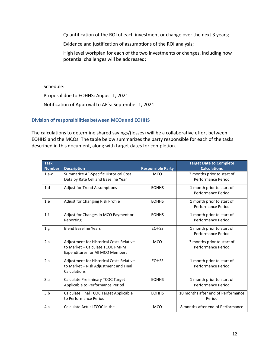Quantification of the ROI of each investment or change over the next 3 years;

Evidence and justification of assumptions of the ROI analysis;

High level workplan for each of the two investments or changes, including how potential challenges will be addressed;

Schedule:

Proposal due to EOHHS: August 1, 2021

Notification of Approval to AE's: September 1, 2021

## **Division of responsibilities between MCOs and EOHHS**

The calculations to determine shared savings/(losses) will be a collaborative effort between EOHHS and the MCOs. The table below summarizes the party responsible for each of the tasks described in this document, along with target dates for completion.

| <b>Task</b><br><b>Number</b> | <b>Description</b>                                                                                                            | <b>Responsible Party</b> | <b>Target Date to Complete</b><br><b>Calculations</b> |
|------------------------------|-------------------------------------------------------------------------------------------------------------------------------|--------------------------|-------------------------------------------------------|
| $1.a-c$                      | Summarize AE-Specific Historical Cost<br>Data by Rate Cell and Baseline Year                                                  | <b>MCO</b>               | 3 months prior to start of<br>Performance Period      |
| 1.d                          | <b>Adjust for Trend Assumptions</b>                                                                                           | <b>EOHHS</b>             | 1 month prior to start of<br>Performance Period       |
| 1.e                          | Adjust for Changing Risk Profile                                                                                              | <b>EOHHS</b>             | 1 month prior to start of<br>Performance Period       |
| 1.f                          | Adjust for Changes in MCO Payment or<br>Reporting                                                                             | <b>EOHHS</b>             | 1 month prior to start of<br>Performance Period       |
| 1.g.                         | <b>Blend Baseline Years</b>                                                                                                   | <b>EOHSS</b>             | 1 month prior to start of<br>Performance Period       |
| 2.a                          | <b>Adjustment for Historical Costs Relative</b><br>to Market - Calculate TCOC PMPM<br><b>Expenditures for All MCO Members</b> | <b>MCO</b>               | 3 months prior to start of<br>Performance Period      |
| 2.a                          | Adjustment for Historical Costs Relative<br>to Market - Risk Adjustment and Final<br>Calculations                             | <b>EOHSS</b>             | 1 month prior to start of<br>Performance Period       |
| 3.a                          | Calculate Preliminary TCOC Target<br>Applicable to Performance Period                                                         | <b>EOHHS</b>             | 1 month prior to start of<br>Performance Period       |
| 3.b                          | Calculate Final TCOC Target Applicable<br>to Performance Period                                                               | <b>EOHHS</b>             | 10 months after end of Performance<br>Period          |
| 4.a                          | Calculate Actual TCOC in the                                                                                                  | <b>MCO</b>               | 8 months after end of Performance                     |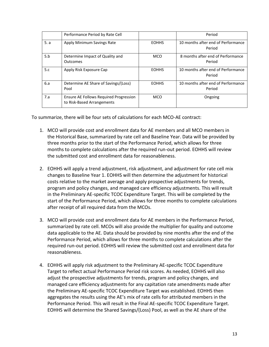|      | Performance Period by Rate Cell                                      |              | Period                                       |
|------|----------------------------------------------------------------------|--------------|----------------------------------------------|
| 5. a | Apply Minimum Savings Rate                                           | <b>EOHHS</b> | 10 months after end of Performance<br>Period |
| 5.b  | Determine Impact of Quality and<br><b>Outcomes</b>                   | <b>MCO</b>   | 8 months after end of Performance<br>Period  |
| 5.c  | Apply Risk Exposure Cap                                              | <b>EOHHS</b> | 10 months after end of Performance<br>Period |
| 6.a  | Determine AE Share of Savings/(Loss)<br>Pool                         | <b>EOHHS</b> | 10 months after end of Performance<br>Period |
| 7.a  | Ensure AE Follows Required Progression<br>to Risk-Based Arrangements | <b>MCO</b>   | Ongoing                                      |

To summarize, there will be four sets of calculations for each MCO-AE contract:

- 1. MCO will provide cost and enrollment data for AE members and all MCO members in the Historical Base, summarized by rate cell and Baseline Year. Data will be provided by three months prior to the start of the Performance Period, which allows for three months to complete calculations after the required run-out period. EOHHS will review the submitted cost and enrollment data for reasonableness.
- 2. EOHHS will apply a trend adjustment, risk adjustment, and adjustment for rate cell mix changes to Baseline Year 1. EOHHS will then determine the adjustment for historical costs relative to the market average and apply prospective adjustments for trends, program and policy changes, and managed care efficiency adjustments. This will result in the Preliminary AE-specific TCOC Expenditure Target. This will be completed by the start of the Performance Period, which allows for three months to complete calculations after receipt of all required data from the MCOs.
- 3. MCO will provide cost and enrollment data for AE members in the Performance Period, summarized by rate cell. MCOs will also provide the multiplier for quality and outcome data applicable to the AE. Data should be provided by nine months after the end of the Performance Period, which allows for three months to complete calculations after the required run-out period. EOHHS will review the submitted cost and enrollment data for reasonableness.
- 4. EOHHS will apply risk adjustment to the Preliminary AE-specific TCOC Expenditure Target to reflect actual Performance Period risk scores. As needed, EOHHS will also adjust the prospective adjustments for trends, program and policy changes, and managed care efficiency adjustments for any capitation rate amendments made after the Preliminary AE-specific TCOC Expenditure Target was established. EOHHS then aggregates the results using the AE's mix of rate cells for attributed members in the Performance Period. This will result in the Final AE-specific TCOC Expenditure Target. EOHHS will determine the Shared Savings/(Loss) Pool, as well as the AE share of the